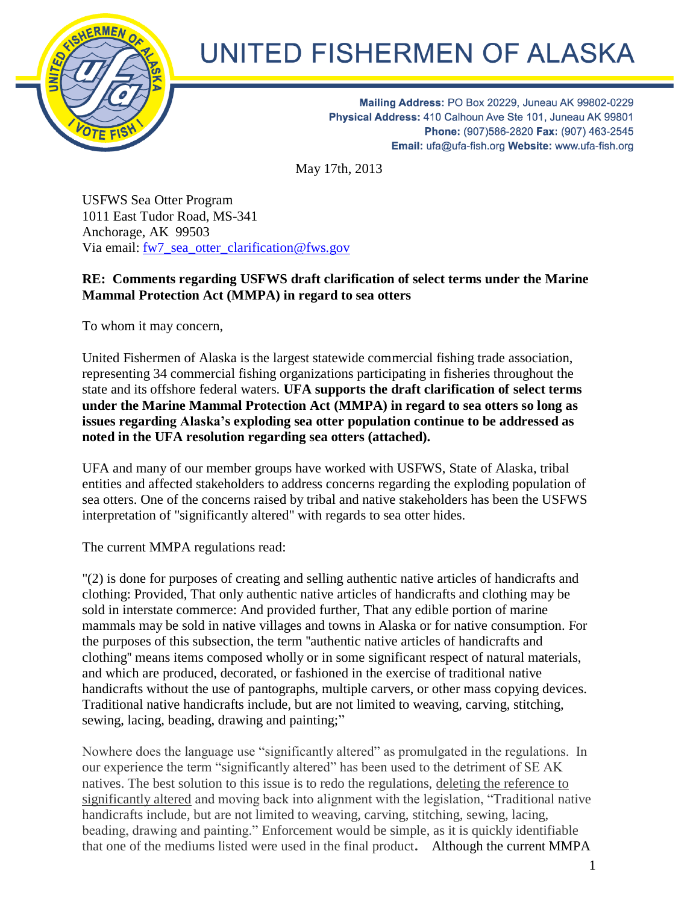

## UNITED FISHERMEN OF ALASKA

Mailing Address: PO Box 20229, Juneau AK 99802-0229 Physical Address: 410 Calhoun Ave Ste 101, Juneau AK 99801 Phone: (907)586-2820 Fax: (907) 463-2545 Email: ufa@ufa-fish.org Website: www.ufa-fish.org

May 17th, 2013

USFWS Sea Otter Program 1011 East Tudor Road, MS-341 Anchorage, AK 99503 Via email: [fw7\\_sea\\_otter\\_clarification@fws.gov](mailto:fw7_sea_otter_clarification@fws.gov)

## **RE: Comments regarding USFWS draft clarification of select terms under the Marine Mammal Protection Act (MMPA) in regard to sea otters**

To whom it may concern,

United Fishermen of Alaska is the largest statewide commercial fishing trade association, representing 34 commercial fishing organizations participating in fisheries throughout the state and its offshore federal waters. **UFA supports the draft clarification of select terms under the Marine Mammal Protection Act (MMPA) in regard to sea otters so long as issues regarding Alaska's exploding sea otter population continue to be addressed as noted in the UFA resolution regarding sea otters (attached).** 

UFA and many of our member groups have worked with USFWS, State of Alaska, tribal entities and affected stakeholders to address concerns regarding the exploding population of sea otters. One of the concerns raised by tribal and native stakeholders has been the USFWS interpretation of "significantly altered" with regards to sea otter hides.

The current MMPA regulations read:

"(2) is done for purposes of creating and selling authentic native articles of handicrafts and clothing: Provided, That only authentic native articles of handicrafts and clothing may be sold in interstate commerce: And provided further, That any edible portion of marine mammals may be sold in native villages and towns in Alaska or for native consumption. For the purposes of this subsection, the term ''authentic native articles of handicrafts and clothing'' means items composed wholly or in some significant respect of natural materials, and which are produced, decorated, or fashioned in the exercise of traditional native handicrafts without the use of pantographs, multiple carvers, or other mass copying devices. Traditional native handicrafts include, but are not limited to weaving, carving, stitching, sewing, lacing, beading, drawing and painting;"

Nowhere does the language use "significantly altered" as promulgated in the regulations. In our experience the term "significantly altered" has been used to the detriment of SE AK natives. The best solution to this issue is to redo the regulations, deleting the reference to significantly altered and moving back into alignment with the legislation, "Traditional native handicrafts include, but are not limited to weaving, carving, stitching, sewing, lacing, beading, drawing and painting." Enforcement would be simple, as it is quickly identifiable that one of the mediums listed were used in the final product**.** Although the current MMPA